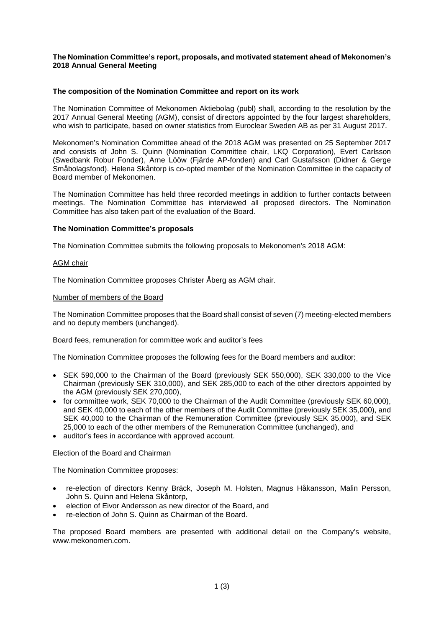# **The Nomination Committee's report, proposals, and motivated statement ahead of Mekonomen's 2018 Annual General Meeting**

# **The composition of the Nomination Committee and report on its work**

The Nomination Committee of Mekonomen Aktiebolag (publ) shall, according to the resolution by the 2017 Annual General Meeting (AGM), consist of directors appointed by the four largest shareholders, who wish to participate, based on owner statistics from Euroclear Sweden AB as per 31 August 2017.

Mekonomen's Nomination Committee ahead of the 2018 AGM was presented on 25 September 2017 and consists of John S. Quinn (Nomination Committee chair, LKQ Corporation), Evert Carlsson (Swedbank Robur Fonder), Arne Lööw (Fjärde AP-fonden) and Carl Gustafsson (Didner & Gerge Småbolagsfond). Helena Skåntorp is co-opted member of the Nomination Committee in the capacity of Board member of Mekonomen.

The Nomination Committee has held three recorded meetings in addition to further contacts between meetings. The Nomination Committee has interviewed all proposed directors. The Nomination Committee has also taken part of the evaluation of the Board.

# **The Nomination Committee's proposals**

The Nomination Committee submits the following proposals to Mekonomen's 2018 AGM:

#### AGM chair

The Nomination Committee proposes Christer Åberg as AGM chair.

#### Number of members of the Board

The Nomination Committee proposes that the Board shall consist of seven (7) meeting-elected members and no deputy members (unchanged).

#### Board fees, remuneration for committee work and auditor's fees

The Nomination Committee proposes the following fees for the Board members and auditor:

- SEK 590,000 to the Chairman of the Board (previously SEK 550,000), SEK 330,000 to the Vice Chairman (previously SEK 310,000), and SEK 285,000 to each of the other directors appointed by the AGM (previously SEK 270,000),
- for committee work, SEK 70,000 to the Chairman of the Audit Committee (previously SEK 60,000), and SEK 40,000 to each of the other members of the Audit Committee (previously SEK 35,000), and SEK 40,000 to the Chairman of the Remuneration Committee (previously SEK 35,000), and SEK 25,000 to each of the other members of the Remuneration Committee (unchanged), and
- auditor's fees in accordance with approved account.

#### Election of the Board and Chairman

The Nomination Committee proposes:

- re-election of directors Kenny Bräck, Joseph M. Holsten, Magnus Håkansson, Malin Persson, John S. Quinn and Helena Skåntorp,
- election of Eivor Andersson as new director of the Board, and
- re-election of John S. Quinn as Chairman of the Board.

The proposed Board members are presented with additional detail on the Company's website, www.mekonomen.com.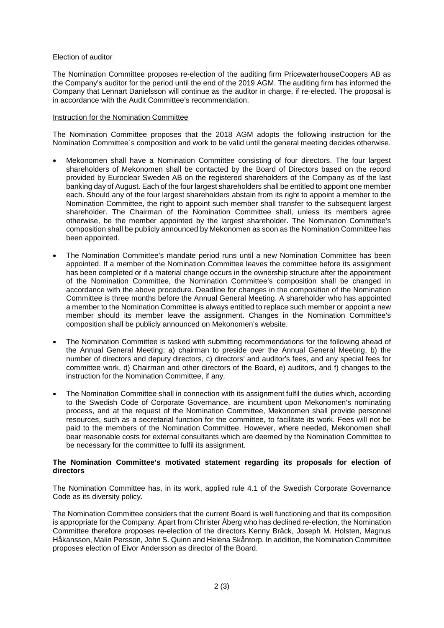# Election of auditor

The Nomination Committee proposes re-election of the auditing firm PricewaterhouseCoopers AB as the Company's auditor for the period until the end of the 2019 AGM. The auditing firm has informed the Company that Lennart Danielsson will continue as the auditor in charge, if re-elected. The proposal is in accordance with the Audit Committee's recommendation.

### Instruction for the Nomination Committee

The Nomination Committee proposes that the 2018 AGM adopts the following instruction for the Nomination Committee´s composition and work to be valid until the general meeting decides otherwise.

- Mekonomen shall have a Nomination Committee consisting of four directors. The four largest shareholders of Mekonomen shall be contacted by the Board of Directors based on the record provided by Euroclear Sweden AB on the registered shareholders of the Company as of the last banking day of August. Each of the four largest shareholders shall be entitled to appoint one member each. Should any of the four largest shareholders abstain from its right to appoint a member to the Nomination Committee, the right to appoint such member shall transfer to the subsequent largest shareholder. The Chairman of the Nomination Committee shall, unless its members agree otherwise, be the member appointed by the largest shareholder. The Nomination Committee's composition shall be publicly announced by Mekonomen as soon as the Nomination Committee has been appointed.
- The Nomination Committee's mandate period runs until a new Nomination Committee has been appointed. If a member of the Nomination Committee leaves the committee before its assignment has been completed or if a material change occurs in the ownership structure after the appointment of the Nomination Committee, the Nomination Committee's composition shall be changed in accordance with the above procedure. Deadline for changes in the composition of the Nomination Committee is three months before the Annual General Meeting. A shareholder who has appointed a member to the Nomination Committee is always entitled to replace such member or appoint a new member should its member leave the assignment. Changes in the Nomination Committee's composition shall be publicly announced on Mekonomen's website.
- The Nomination Committee is tasked with submitting recommendations for the following ahead of the Annual General Meeting: a) chairman to preside over the Annual General Meeting, b) the number of directors and deputy directors, c) directors' and auditor's fees, and any special fees for committee work, d) Chairman and other directors of the Board, e) auditors, and f) changes to the instruction for the Nomination Committee, if any.
- The Nomination Committee shall in connection with its assignment fulfil the duties which, according to the Swedish Code of Corporate Governance, are incumbent upon Mekonomen's nominating process, and at the request of the Nomination Committee, Mekonomen shall provide personnel resources, such as a secretarial function for the committee, to facilitate its work. Fees will not be paid to the members of the Nomination Committee. However, where needed, Mekonomen shall bear reasonable costs for external consultants which are deemed by the Nomination Committee to be necessary for the committee to fulfil its assignment.

# **The Nomination Committee's motivated statement regarding its proposals for election of directors**

The Nomination Committee has, in its work, applied rule 4.1 of the Swedish Corporate Governance Code as its diversity policy.

The Nomination Committee considers that the current Board is well functioning and that its composition is appropriate for the Company. Apart from Christer Åberg who has declined re-election, the Nomination Committee therefore proposes re-election of the directors Kenny Bräck, Joseph M. Holsten, Magnus Håkansson, Malin Persson, John S. Quinn and Helena Skåntorp. In addition, the Nomination Committee proposes election of Eivor Andersson as director of the Board.